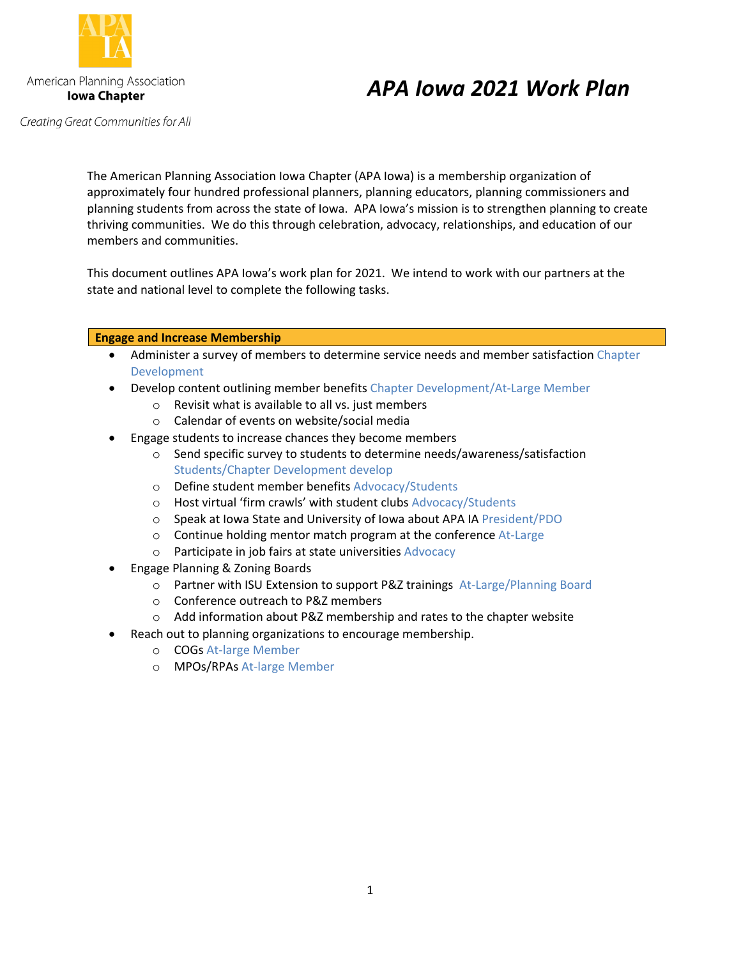

# *APA Iowa 2021 Work Plan*

Creating Great Communities for All

The American Planning Association Iowa Chapter (APA Iowa) is a membership organization of approximately four hundred professional planners, planning educators, planning commissioners and planning students from across the state of Iowa. APA Iowa's mission is to strengthen planning to create thriving communities. We do this through celebration, advocacy, relationships, and education of our members and communities.

This document outlines APA Iowa's work plan for 2021. We intend to work with our partners at the state and national level to complete the following tasks.

## **Engage and Increase Membership**

- Administer a survey of members to determine service needs and member satisfaction Chapter Development
- Develop content outlining member benefits Chapter Development/At-Large Member
	- o Revisit what is available to all vs. just members
	- o Calendar of events on website/social media
- Engage students to increase chances they become members
	- $\circ$  Send specific survey to students to determine needs/awareness/satisfaction Students/Chapter Development develop
	- o Define student member benefits Advocacy/Students
	- o Host virtual 'firm crawls' with student clubs Advocacy/Students
	- o Speak at Iowa State and University of Iowa about APA IA President/PDO
	- $\circ$  Continue holding mentor match program at the conference At-Large
	- o Participate in job fairs at state universities Advocacy
- Engage Planning & Zoning Boards
	- o Partner with ISU Extension to support P&Z trainings At-Large/Planning Board
	- o Conference outreach to P&Z members
	- o Add information about P&Z membership and rates to the chapter website
- Reach out to planning organizations to encourage membership.
	- o COGs At-large Member
	- o MPOs/RPAs At-large Member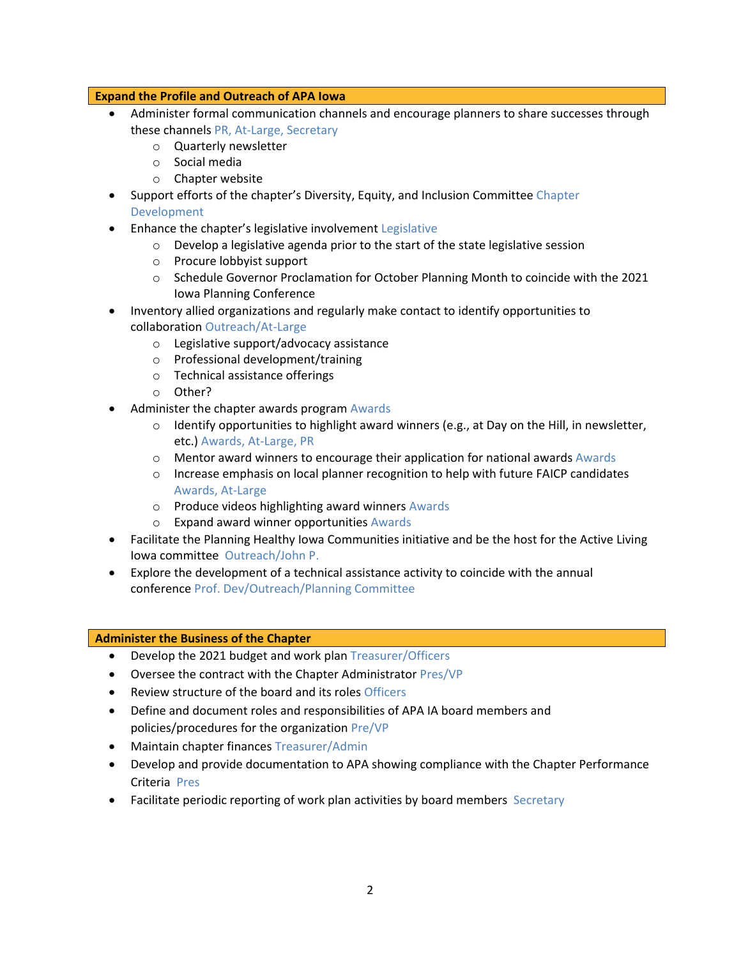### **Expand the Profile and Outreach of APA Iowa**

- Administer formal communication channels and encourage planners to share successes through these channels PR, At-Large, Secretary
	- o Quarterly newsletter
	- o Social media
	- o Chapter website
- Support efforts of the chapter's Diversity, Equity, and Inclusion Committee Chapter Development
- Enhance the chapter's legislative involvement Legislative
	- o Develop a legislative agenda prior to the start of the state legislative session
	- o Procure lobbyist support
	- o Schedule Governor Proclamation for October Planning Month to coincide with the 2021 Iowa Planning Conference
- Inventory allied organizations and regularly make contact to identify opportunities to collaboration Outreach/At-Large
	- o Legislative support/advocacy assistance
	- o Professional development/training
	- o Technical assistance offerings
	- o Other?
- Administer the chapter awards program Awards
	- $\circ$  Identify opportunities to highlight award winners (e.g., at Day on the Hill, in newsletter, etc.) Awards, At-Large, PR
	- o Mentor award winners to encourage their application for national awards Awards
	- $\circ$  Increase emphasis on local planner recognition to help with future FAICP candidates Awards, At-Large
	- o Produce videos highlighting award winners Awards
	- o Expand award winner opportunities Awards
- Facilitate the Planning Healthy Iowa Communities initiative and be the host for the Active Living Iowa committee Outreach/John P.
- Explore the development of a technical assistance activity to coincide with the annual conference Prof. Dev/Outreach/Planning Committee

### **Administer the Business of the Chapter**

- Develop the 2021 budget and work plan Treasurer/Officers
- Oversee the contract with the Chapter Administrator Pres/VP
- Review structure of the board and its roles Officers
- Define and document roles and responsibilities of APA IA board members and policies/procedures for the organization Pre/VP
- Maintain chapter finances Treasurer/Admin
- Develop and provide documentation to APA showing compliance with the Chapter Performance Criteria Pres
- Facilitate periodic reporting of work plan activities by board members Secretary